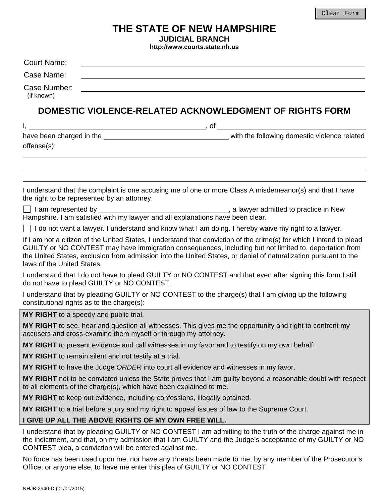# **THE STATE OF NEW HAMPSHIRE**

**JUDICIAL BRANCH** 

**<http://www.courts.state.nh.us>** 

| nttp://www.courts.state.nn.us                                                                |                                                                                                                                                                                                                                                                                                                                                   |
|----------------------------------------------------------------------------------------------|---------------------------------------------------------------------------------------------------------------------------------------------------------------------------------------------------------------------------------------------------------------------------------------------------------------------------------------------------|
| Court Name:                                                                                  |                                                                                                                                                                                                                                                                                                                                                   |
| Case Name:                                                                                   |                                                                                                                                                                                                                                                                                                                                                   |
| Case Number:<br>(if known)                                                                   |                                                                                                                                                                                                                                                                                                                                                   |
|                                                                                              | DOMESTIC VIOLENCE-RELATED ACKNOWLEDGMENT OF RIGHTS FORM                                                                                                                                                                                                                                                                                           |
| $1, \underline{\hspace{1cm}}$ , of $\underline{\hspace{1cm}}$                                |                                                                                                                                                                                                                                                                                                                                                   |
| offense(s):                                                                                  |                                                                                                                                                                                                                                                                                                                                                   |
| the right to be represented by an attorney.                                                  | I understand that the complaint is one accusing me of one or more Class A misdemeanor(s) and that I have                                                                                                                                                                                                                                          |
| Hampshire. I am satisfied with my lawyer and all explanations have been clear.               |                                                                                                                                                                                                                                                                                                                                                   |
|                                                                                              | $\Box$ I do not want a lawyer. I understand and know what I am doing. I hereby waive my right to a lawyer.                                                                                                                                                                                                                                        |
| laws of the United States.                                                                   | If I am not a citizen of the United States, I understand that conviction of the crime(s) for which I intend to plead<br>GUILTY or NO CONTEST may have immigration consequences, including but not limited to, deportation from<br>the United States, exclusion from admission into the United States, or denial of naturalization pursuant to the |
| do not have to plead GUILTY or NO CONTEST.                                                   | I understand that I do not have to plead GUILTY or NO CONTEST and that even after signing this form I still                                                                                                                                                                                                                                       |
| constitutional rights as to the charge(s):                                                   | I understand that by pleading GUILTY or NO CONTEST to the charge(s) that I am giving up the following                                                                                                                                                                                                                                             |
| MY RIGHT to a speedy and public trial.                                                       |                                                                                                                                                                                                                                                                                                                                                   |
| accusers and cross-examine them myself or through my attorney.                               | MY RIGHT to see, hear and question all witnesses. This gives me the opportunity and right to confront my                                                                                                                                                                                                                                          |
| MY RIGHT to present evidence and call witnesses in my favor and to testify on my own behalf. |                                                                                                                                                                                                                                                                                                                                                   |
| MY RIGHT to remain silent and not testify at a trial.                                        |                                                                                                                                                                                                                                                                                                                                                   |
| MY RIGHT to have the Judge ORDER into court all evidence and witnesses in my favor.          |                                                                                                                                                                                                                                                                                                                                                   |
| to all elements of the charge(s), which have been explained to me.                           | MY RIGHT not to be convicted unless the State proves that I am guilty beyond a reasonable doubt with respect                                                                                                                                                                                                                                      |
| MY RIGHT to keep out evidence, including confessions, illegally obtained.                    |                                                                                                                                                                                                                                                                                                                                                   |
| MY RIGHT to a trial before a jury and my right to appeal issues of law to the Supreme Court. |                                                                                                                                                                                                                                                                                                                                                   |
| I GIVE UP ALL THE ABOVE RIGHTS OF MY OWN FREE WILL.                                          |                                                                                                                                                                                                                                                                                                                                                   |
| CONTEST plea, a conviction will be entered against me.                                       | I understand that by pleading GUILTY or NO CONTEST I am admitting to the truth of the charge against me in<br>the indictment, and that, on my admission that I am GUILTY and the Judge's acceptance of my GUILTY or NO                                                                                                                            |
| Office, or anyone else, to have me enter this plea of GUILTY or NO CONTEST.                  | No force has been used upon me, nor have any threats been made to me, by any member of the Prosecutor's                                                                                                                                                                                                                                           |